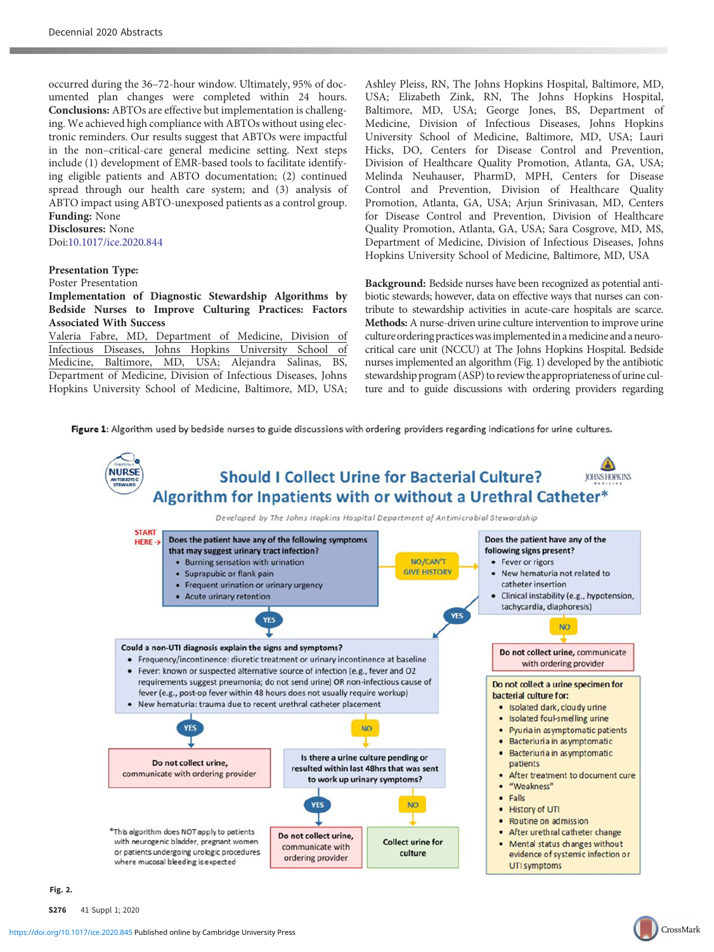occurred during the 36–72-hour window. Ultimately, 95% of documented plan changes were completed within 24 hours. Conclusions: ABTOs are effective but implementation is challenging. We achieved high compliance with ABTOs without using electronic reminders. Our results suggest that ABTOs were impactful in the non–critical-care general medicine setting. Next steps include (1) development of EMR-based tools to facilitate identifying eligible patients and ABTO documentation; (2) continued spread through our health care system; and (3) analysis of ABTO impact using ABTO-unexposed patients as a control group. Funding: None

## Disclosures: None Doi:[10.1017/ice.2020.844](https://doi.org/10.1017/ice.2020.844)

## Presentation Type:

Poster Presentation

Implementation of Diagnostic Stewardship Algorithms by Bedside Nurses to Improve Culturing Practices: Factors Associated With Success

Valeria Fabre, MD, Department of Medicine, Division of Infectious Diseases, Johns Hopkins University School of Medicine, Baltimore, MD, USA; Alejandra Salinas, BS, Medicine, Baltimore, MD, USA; Alejandra Salinas, Department of Medicine, Division of Infectious Diseases, Johns Hopkins University School of Medicine, Baltimore, MD, USA;

Ashley Pleiss, RN, The Johns Hopkins Hospital, Baltimore, MD, USA; Elizabeth Zink, RN, The Johns Hopkins Hospital, Baltimore, MD, USA; George Jones, BS, Department of Medicine, Division of Infectious Diseases, Johns Hopkins University School of Medicine, Baltimore, MD, USA; Lauri Hicks, DO, Centers for Disease Control and Prevention, Division of Healthcare Quality Promotion, Atlanta, GA, USA; Melinda Neuhauser, PharmD, MPH, Centers for Disease Control and Prevention, Division of Healthcare Quality Promotion, Atlanta, GA, USA; Arjun Srinivasan, MD, Centers for Disease Control and Prevention, Division of Healthcare Quality Promotion, Atlanta, GA, USA; Sara Cosgrove, MD, MS, Department of Medicine, Division of Infectious Diseases, Johns Hopkins University School of Medicine, Baltimore, MD, USA

Background: Bedside nurses have been recognized as potential antibiotic stewards; however, data on effective ways that nurses can contribute to stewardship activities in acute-care hospitals are scarce. Methods: A nurse-driven urine culture intervention to improve urine culture ordering practices was implemented in a medicine and a neurocritical care unit (NCCU) at The Johns Hopkins Hospital. Bedside nurses implemented an algorithm (Fig. 1) developed by the antibiotic stewardship program (ASP) to review the appropriateness of urine culture and to guide discussions with ordering providers regarding

Figure 1: Algorithm used by bedside nurses to guide discussions with ordering providers regarding indications for urine cultures.



 $\mathcal{L}$